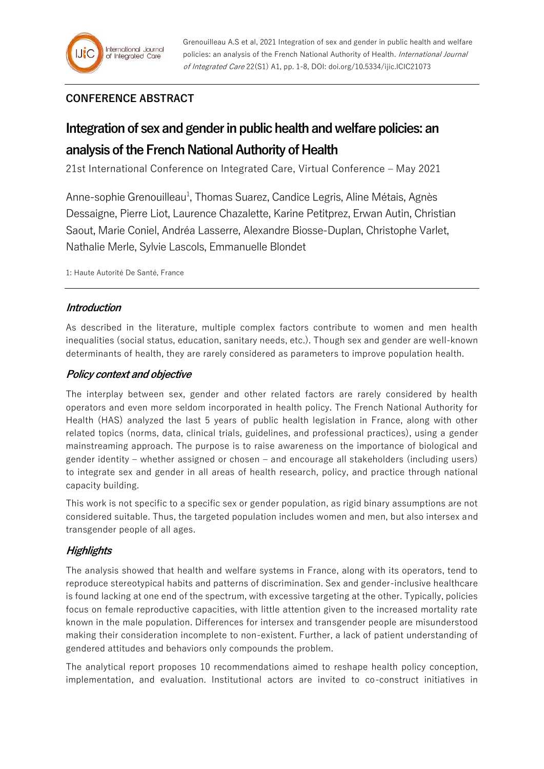## **CONFERENCE ABSTRACT**

# **Integration of sex and gender in public health and welfare policies: an analysis of the French National Authority of Health**

21st International Conference on Integrated Care, Virtual Conference – May 2021

Anne-sophie Grenouilleau<sup>1</sup>, Thomas Suarez, Candice Legris, Aline Métais, Agnès Dessaigne, Pierre Liot, Laurence Chazalette, Karine Petitprez, Erwan Autin, Christian Saout, Marie Coniel, Andréa Lasserre, Alexandre Biosse-Duplan, Christophe Varlet, Nathalie Merle, Sylvie Lascols, Emmanuelle Blondet

1: Haute Autorité De Santé, France

### **Introduction**

As described in the literature, multiple complex factors contribute to women and men health inequalities (social status, education, sanitary needs, etc.). Though sex and gender are well-known determinants of health, they are rarely considered as parameters to improve population health.

## **Policy context and objective**

The interplay between sex, gender and other related factors are rarely considered by health operators and even more seldom incorporated in health policy. The French National Authority for Health (HAS) analyzed the last 5 years of public health legislation in France, along with other related topics (norms, data, clinical trials, guidelines, and professional practices), using a gender mainstreaming approach. The purpose is to raise awareness on the importance of biological and gender identity – whether assigned or chosen – and encourage all stakeholders (including users) to integrate sex and gender in all areas of health research, policy, and practice through national capacity building.

This work is not specific to a specific sex or gender population, as rigid binary assumptions are not considered suitable. Thus, the targeted population includes women and men, but also intersex and transgender people of all ages.

### **Highlights**

The analysis showed that health and welfare systems in France, along with its operators, tend to reproduce stereotypical habits and patterns of discrimination. Sex and gender-inclusive healthcare is found lacking at one end of the spectrum, with excessive targeting at the other. Typically, policies focus on female reproductive capacities, with little attention given to the increased mortality rate known in the male population. Differences for intersex and transgender people are misunderstood making their consideration incomplete to non-existent. Further, a lack of patient understanding of gendered attitudes and behaviors only compounds the problem.

The analytical report proposes 10 recommendations aimed to reshape health policy conception, implementation, and evaluation. Institutional actors are invited to co-construct initiatives in